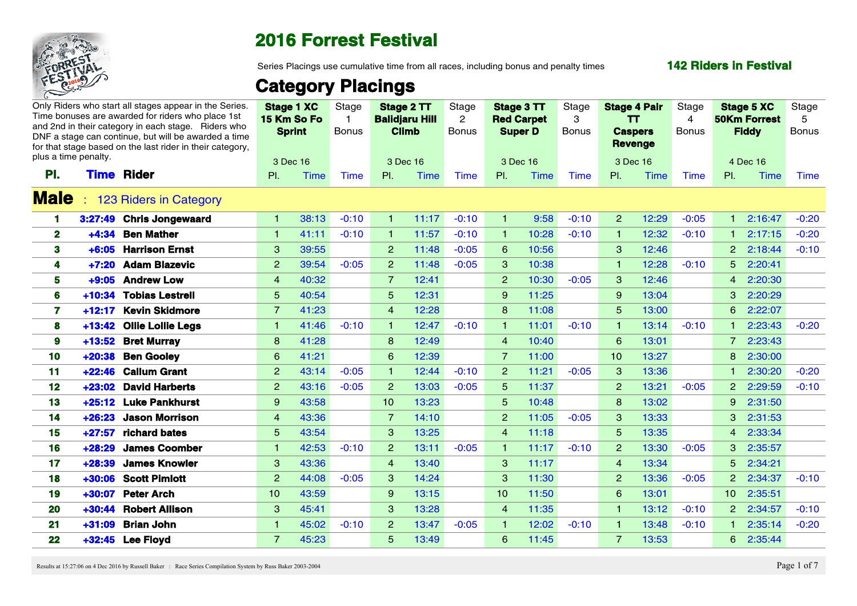

Series Placings use cumulative time from all races, including bonus and penalty times

#### **142 Riders in Festival**

# **Category Placings**

| plus a time penalty. |          | Only Riders who start all stages appear in the Series.<br>Time bonuses are awarded for riders who place 1st<br>and 2nd in their category in each stage. Riders who<br>DNF a stage can continue, but will be awarded a time<br>for that stage based on the last rider in their category, |                      | <b>Stage 1 XC</b><br>15 Km So Fo<br><b>Sprint</b> | Stage<br><b>Bonus</b> | Stage 2 TT<br><b>Balidjaru Hill</b><br><b>Climb</b> |             | Stage<br>2<br><b>Bonus</b> | Stage 3 TT<br><b>Red Carpet</b><br><b>Super D</b> |       | Stage<br><b>Bonus</b> | <b>Stage 4 Pair</b><br>TT.<br><b>Caspers</b><br><b>Revenge</b> |       | Stage<br>$\boldsymbol{4}$<br><b>Bonus</b> | <b>Stage 5 XC</b><br><b>50Km Forrest</b><br><b>Fiddy</b> |             | Stage<br>5<br><b>Bonus</b> |
|----------------------|----------|-----------------------------------------------------------------------------------------------------------------------------------------------------------------------------------------------------------------------------------------------------------------------------------------|----------------------|---------------------------------------------------|-----------------------|-----------------------------------------------------|-------------|----------------------------|---------------------------------------------------|-------|-----------------------|----------------------------------------------------------------|-------|-------------------------------------------|----------------------------------------------------------|-------------|----------------------------|
|                      |          |                                                                                                                                                                                                                                                                                         |                      | 3 Dec 16                                          |                       | 3 Dec 16                                            |             |                            | 3 Dec 16                                          |       |                       | 3 Dec 16                                                       |       |                                           | 4 Dec 16                                                 |             |                            |
| PI.                  | Time     | <b>Rider</b>                                                                                                                                                                                                                                                                            | PI.                  | Time                                              | Time                  | PI.                                                 | <b>Time</b> | <b>Time</b>                | PI.                                               | Time  | Time                  | PL                                                             | Time  | Time                                      | PI.                                                      | Time        | Time                       |
| <b>Male</b>          |          | <b>123 Riders in Category</b>                                                                                                                                                                                                                                                           |                      |                                                   |                       |                                                     |             |                            |                                                   |       |                       |                                                                |       |                                           |                                                          |             |                            |
|                      |          | 3:27:49 Chris Jongewaard                                                                                                                                                                                                                                                                | $\blacktriangleleft$ | 38:13                                             | $-0:10$               |                                                     | 11:17       | $-0.10$                    |                                                   | 9:58  | $-0:10$               | -2                                                             | 12:29 | $-0:05$                                   |                                                          | 2:16:47     | $-0:20$                    |
| $\mathbf{2}$         |          | +4:34 Ben Mather                                                                                                                                                                                                                                                                        | $\mathbf{1}$         | 41:11                                             | $-0:10$               |                                                     | 11:57       | $-0:10$                    |                                                   | 10:28 | $-0:10$               |                                                                | 12:32 | $-0:10$                                   |                                                          | 2:17:15     | $-0:20$                    |
| 3                    |          | +6:05 Harrison Ernst                                                                                                                                                                                                                                                                    | $\mathbf{3}$         | 39:55                                             |                       | $\left 2\right $                                    | 11:48       | $-0:05$                    | 6                                                 | 10:56 |                       | $\mathbf{3}$                                                   | 12:46 |                                           |                                                          | 2 2:18:44   | $-0:10$                    |
| 4                    |          | +7:20 Adam Blazevic                                                                                                                                                                                                                                                                     | $\overline{2}$       | 39:54                                             | $-0:05$               | $\overline{2}$                                      | 11:48       | $-0:05$                    | 3                                                 | 10:38 |                       |                                                                | 12:28 | $-0:10$                                   | 5 2:20:41                                                |             |                            |
| 5                    |          | +9:05 Andrew Low                                                                                                                                                                                                                                                                        | $\overline{4}$       | 40:32                                             |                       | 7                                                   | 12:41       |                            | $\overline{2}$                                    | 10:30 | $-0:05$               | $\mathbf{3}$                                                   | 12:46 |                                           |                                                          | 4 2:20:30   |                            |
| 6                    |          | +10:34 Tobias Lestrell                                                                                                                                                                                                                                                                  | 5 <sup>5</sup>       | 40:54                                             |                       | $\overline{5}$                                      | 12:31       |                            | $9^{\circ}$                                       | 11:25 |                       | -9                                                             | 13:04 |                                           |                                                          | 3 2:20:29   |                            |
|                      |          | +12:17 Kevin Skidmore                                                                                                                                                                                                                                                                   | $\overline{7}$       | 41:23                                             |                       | $\overline{4}$                                      | 12:28       |                            | 8                                                 | 11:08 |                       | $5^{\circ}$                                                    | 13:00 |                                           |                                                          | 6 2:22:07   |                            |
| 8                    |          | +13:42 Ollie Lollie Legs                                                                                                                                                                                                                                                                |                      | 41:46                                             | $-0:10$               |                                                     | 12:47       | $-0:10$                    |                                                   | 11:01 | $-0:10$               |                                                                | 13:14 | $-0:10$                                   |                                                          | 2:23:43     | $-0:20$                    |
| 9                    |          | +13:52 Bret Murray                                                                                                                                                                                                                                                                      | 8 <sup>°</sup>       | 41:28                                             |                       | 8                                                   | 12:49       |                            | $\overline{4}$                                    | 10:40 |                       | 6                                                              | 13:01 |                                           |                                                          | 7 2:23:43   |                            |
| 10                   |          | +20:38 Ben Gooley                                                                                                                                                                                                                                                                       | 6                    | 41:21                                             |                       | 6                                                   | 12:39       |                            | $\overline{7}$                                    | 11:00 |                       | 10                                                             | 13:27 |                                           |                                                          | 8 2:30:00   |                            |
| 11                   |          | +22:46 Callum Grant                                                                                                                                                                                                                                                                     | $\overline{2}$       | 43:14                                             | $-0:05$               |                                                     | 12:44       | $-0:10$                    | $\overline{2}$                                    | 11:21 | $-0:05$               | -3                                                             | 13:36 |                                           |                                                          | 2:30:20     | $-0:20$                    |
| 12 <sup>12</sup>     |          | +23:02 David Harberts                                                                                                                                                                                                                                                                   | $\overline{2}$       | 43:16                                             | $-0:05$               | $\overline{2}$                                      | 13:03       | $-0:05$                    | $5^{\circ}$                                       | 11:37 |                       | -2                                                             | 13:21 | $-0:05$                                   |                                                          | 2 2:29:59   | $-0:10$                    |
| 13                   |          | +25:12 Luke Pankhurst                                                                                                                                                                                                                                                                   | -9                   | 43:58                                             |                       | 10 <sup>1</sup>                                     | 13:23       |                            | $\overline{5}$                                    | 10:48 |                       | $\mathbf{R}$                                                   | 13:02 |                                           |                                                          | 9 2:31:50   |                            |
| 14                   |          | +26:23 Jason Morrison                                                                                                                                                                                                                                                                   | $\overline{4}$       | 43:36                                             |                       | $\overline{7}$                                      | 14:10       |                            | $\overline{2}$                                    | 11:05 | $-0:05$               | $\mathbf{3}$                                                   | 13:33 |                                           |                                                          | 3 2:31:53   |                            |
| 15 <sub>1</sub>      | $+27:57$ | richard bates                                                                                                                                                                                                                                                                           | $5\overline{5}$      | 43:54                                             |                       | 3 <sup>°</sup>                                      | 13:25       |                            | $\overline{4}$                                    | 11:18 |                       | -5                                                             | 13:35 |                                           |                                                          | 4 2:33:34   |                            |
| 16                   |          | +28:29 James Coomber                                                                                                                                                                                                                                                                    |                      | 42:53                                             | $-0:10$               | $\overline{2}$                                      | 13:11       | $-0:05$                    |                                                   | 11:17 | $-0:10$               | $\overline{2}$                                                 | 13:30 | $-0:05$                                   |                                                          | 3 2:35:57   |                            |
| 17                   |          | +28:39 James Knowler                                                                                                                                                                                                                                                                    | $\mathbf{3}$         | 43:36                                             |                       | $\overline{4}$                                      | 13:40       |                            | $\mathbf{3}$                                      | 11:17 |                       | $\overline{4}$                                                 | 13:34 |                                           |                                                          | $5$ 2:34:21 |                            |
| 18                   |          | +30:06 Scott Pimlott                                                                                                                                                                                                                                                                    | $\overline{2}$       | 44:08                                             | $-0:05$               | $\mathbf{3}$                                        | 14:24       |                            | 3                                                 | 11:30 |                       | $\overline{2}$                                                 | 13:36 | $-0:05$                                   |                                                          | 2 2:34:37   | $-0:10$                    |
| 19                   |          | +30:07 Peter Arch                                                                                                                                                                                                                                                                       | 10 <sup>1</sup>      | 43:59                                             |                       | -9                                                  | 13:15       |                            | 10 <sup>°</sup>                                   | 11:50 |                       | 6                                                              | 13:01 |                                           | 10 2:35:51                                               |             |                            |
| 20                   |          | +30:44 Robert Allison                                                                                                                                                                                                                                                                   | $\mathbf{3}$         | 45:41                                             |                       | $\mathbf{3}$                                        | 13:28       |                            | $\overline{4}$                                    | 11:35 |                       |                                                                | 13:12 | $-0:10$                                   |                                                          | 2 2:34:57   | $-0:10$                    |
| 21                   |          | +31:09 Brian John                                                                                                                                                                                                                                                                       |                      | 45:02                                             | $-0:10$               | $\overline{2}$                                      | 13:47       | $-0:05$                    |                                                   | 12:02 | $-0:10$               |                                                                | 13:48 | $-0:10$                                   |                                                          | 2:35:14     | $-0:20$                    |
| 22                   |          | +32:45 Lee Floyd                                                                                                                                                                                                                                                                        | $\overline{7}$       | 45:23                                             |                       | 5                                                   | 13:49       |                            | 6                                                 | 11:45 |                       | $\overline{7}$                                                 | 13:53 |                                           |                                                          | 6 2:35:44   |                            |

Results at 15:27:06 on 4 Dec 2016 by Russell Baker : Race Series Compilation System by Russ Baker 2003-2004 Page 1 of 7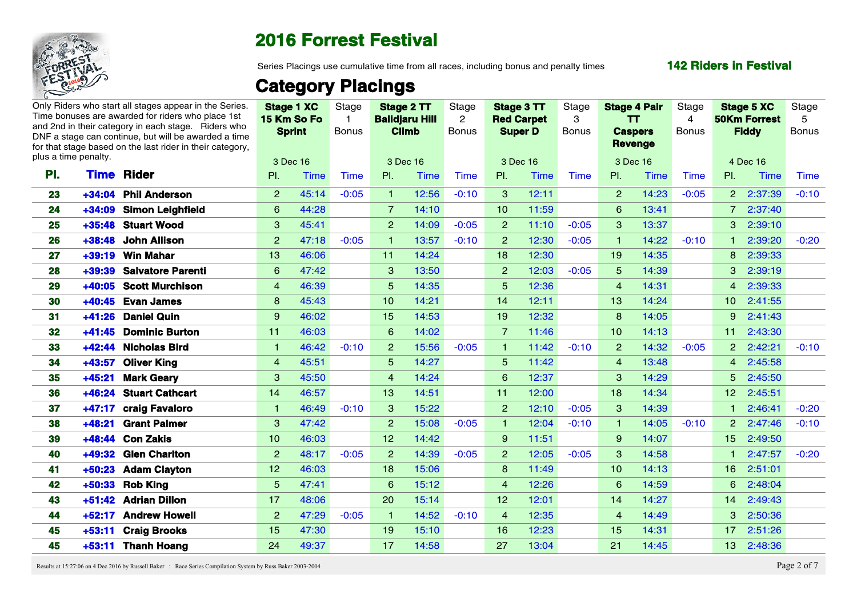

Series Placings use cumulative time from all races, including bonus and penalty times

#### **142 Riders in Festival**

# **Category Placings**

|                 |                      | Only Riders who start all stages appear in the Series.<br>Time bonuses are awarded for riders who place 1st<br>and 2nd in their category in each stage. Riders who<br>DNF a stage can continue, but will be awarded a time<br>for that stage based on the last rider in their category. |                 | <b>Stage 1 XC</b><br>15 Km So Fo<br><b>Sprint</b> | Stage<br>Bonus |                 | Stage 2 TT<br><b>Balidjaru Hill</b><br><b>Climb</b> | Stage<br>$\overline{2}$<br><b>Bonus</b> | Stage 3 TT<br><b>Red Carpet</b> | <b>Super D</b> | Stage<br>-3<br><b>Bonus</b> | <b>Stage 4 Pair</b><br>TT.<br><b>Caspers</b><br>Revenge |             | Stage<br>4<br><b>Bonus</b> | <b>Stage 5 XC</b><br><b>50Km Forrest</b><br><b>Fiddy</b> |         | Stage<br>.5<br>Bonus |
|-----------------|----------------------|-----------------------------------------------------------------------------------------------------------------------------------------------------------------------------------------------------------------------------------------------------------------------------------------|-----------------|---------------------------------------------------|----------------|-----------------|-----------------------------------------------------|-----------------------------------------|---------------------------------|----------------|-----------------------------|---------------------------------------------------------|-------------|----------------------------|----------------------------------------------------------|---------|----------------------|
|                 | plus a time penalty. |                                                                                                                                                                                                                                                                                         |                 | 3 Dec 16                                          |                |                 | 3 Dec 16                                            |                                         |                                 | 3 Dec 16       |                             | 3 Dec 16                                                |             |                            | 4 Dec 16                                                 |         |                      |
| PI.             | Rider<br><b>Time</b> |                                                                                                                                                                                                                                                                                         | PI.             | <b>Time</b>                                       | <b>Time</b>    | PI.             | <b>Time</b>                                         | <b>Time</b>                             | PI.                             | <b>Time</b>    | Time                        | PI.                                                     | <b>Time</b> | Time                       | PL                                                       | Time    | Time                 |
| 23              | +34:04 Phil Anderson |                                                                                                                                                                                                                                                                                         | $\overline{2}$  | 45:14                                             | $-0:05$        | $\blacksquare$  | 12:56                                               | $-0:10$                                 | $\mathbf{3}$                    | 12:11          |                             | $\overline{2}$                                          | 14:23       | $-0:05$                    | 2 2:37:39                                                |         | $-0:10$              |
| 24              |                      | +34:09 Simon Leighfield                                                                                                                                                                                                                                                                 | $6^{\circ}$     | 44:28                                             |                | $\overline{7}$  | 14:10                                               |                                         | 10 <sup>°</sup>                 | 11:59          |                             | 6                                                       | 13:41       |                            | 7 2:37:40                                                |         |                      |
| 25              | +35:48 Stuart Wood   |                                                                                                                                                                                                                                                                                         | 3 <sup>1</sup>  | 45:41                                             |                | 2 <sup>2</sup>  | 14:09                                               | $-0:05$                                 | 2 <sup>2</sup>                  | 11:10          | $-0:05$                     | 3                                                       | 13:37       |                            | 3 2:39:10                                                |         |                      |
| 26              | +38:48 John Allison  |                                                                                                                                                                                                                                                                                         | 2               | 47:18                                             | $-0:05$        | $\blacksquare$  | 13:57                                               | $-0:10$                                 | $\overline{2}$                  | 12:30          | $-0:05$                     |                                                         | 14:22       | $-0:10$                    |                                                          | 2:39:20 | $-0:20$              |
| 27              | +39:19 Win Mahar     |                                                                                                                                                                                                                                                                                         | 13 <sup>°</sup> | 46:06                                             |                | 11 <sup>1</sup> | 14:24                                               |                                         | 18 <sup>°</sup>                 | 12:30          |                             | 19 <sup>°</sup>                                         | 14:35       |                            | 8 2:39:33                                                |         |                      |
| 28              | $+39:39$             | <b>Salvatore Parenti</b>                                                                                                                                                                                                                                                                | 6               | 47:42                                             |                | 3               | 13:50                                               |                                         | $\overline{2}$                  | 12:03          | $-0:05$                     | $5\overline{)}$                                         | 14:39       |                            | 3 2:39:19                                                |         |                      |
| 29              |                      | +40:05 Scott Murchison                                                                                                                                                                                                                                                                  | $\overline{4}$  | 46:39                                             |                | 5 <sup>1</sup>  | 14:35                                               |                                         | -5                              | 12:36          |                             | $\overline{4}$                                          | 14:31       |                            | $\overline{4}$                                           | 2:39:33 |                      |
| 30              | +40:45 Evan James    |                                                                                                                                                                                                                                                                                         | 8               | 45:43                                             |                | 10 <sup>1</sup> | 14:21                                               |                                         | 14                              | 12:11          |                             | 13 <sup>°</sup>                                         | 14:24       |                            | 10 2:41:55                                               |         |                      |
| 31              | +41:26 Daniel Quin   |                                                                                                                                                                                                                                                                                         | -9              | 46:02                                             |                | 15 <sub>1</sub> | 14:53                                               |                                         | 19 <sup>°</sup>                 | 12:32          |                             | 8                                                       | 14:05       |                            | 9                                                        | 2:41:43 |                      |
| 32 <sub>2</sub> |                      | +41:45 Dominic Burton                                                                                                                                                                                                                                                                   | 11              | 46:03                                             |                | $6^{\circ}$     | 14:02                                               |                                         | $\overline{7}$                  | 11:46          |                             | 10 <sup>°</sup>                                         | 14:13       |                            | 11 2:43:30                                               |         |                      |
| 33              | +42:44 Nicholas Bird |                                                                                                                                                                                                                                                                                         | $\mathbf{1}$    | 46:42                                             | $-0:10$        | 2 <sup>7</sup>  | 15:56                                               | $-0:05$                                 | $\overline{1}$                  | 11:42          | $-0:10$                     | $\overline{2}$                                          | 14:32       | $-0:05$                    | 2 2:42:21                                                |         | $-0:10$              |
| 34              | +43:57 Oliver King   |                                                                                                                                                                                                                                                                                         | $\overline{4}$  | 45:51                                             |                | 5 <sup>5</sup>  | 14:27                                               |                                         | 5 <sup>5</sup>                  | 11:42          |                             | $\overline{4}$                                          | 13:48       |                            | 4 2:45:58                                                |         |                      |
| 35              | $+45:21$             | <b>Mark Geary</b>                                                                                                                                                                                                                                                                       | $\mathbf{3}$    | 45:50                                             |                | $\overline{4}$  | 14:24                                               |                                         | 6                               | 12:37          |                             | $\mathcal{B}$                                           | 14:29       |                            | 5 2:45:50                                                |         |                      |
| 36              |                      | +46:24 Stuart Cathcart                                                                                                                                                                                                                                                                  | 14              | 46:57                                             |                | 13 <sup>7</sup> | 14:51                                               |                                         | 11                              | 12:00          |                             | 18 <sup>°</sup>                                         | 14:34       |                            | 12 2:45:51                                               |         |                      |
| 37              | $+47:17$             | craig Favaloro                                                                                                                                                                                                                                                                          |                 | 46:49                                             | $-0:10$        | 3 <sup>°</sup>  | 15:22                                               |                                         | $\overline{2}$                  | 12:10          | $-0:05$                     | $\mathbf{3}$                                            | 14:39       |                            |                                                          | 2:46:41 | $-0:20$              |
| 38              | $+48:21$             | <b>Grant Palmer</b>                                                                                                                                                                                                                                                                     | $\mathbf{3}$    | 47:42                                             |                | $\overline{2}$  | 15:08                                               | $-0:05$                                 |                                 | 12:04          | $-0:10$                     |                                                         | 14:05       | $-0:10$                    | 2 2:47:46                                                |         | $-0:10$              |
| 39              | +48:44               | <b>Con Zakis</b>                                                                                                                                                                                                                                                                        | 10 <sup>°</sup> | 46:03                                             |                | 12 <sup>2</sup> | 14:42                                               |                                         | 9                               | 11:51          |                             | 9                                                       | 14:07       |                            | 15 <sub>1</sub>                                          | 2:49:50 |                      |
| 40              | +49:32 Glen Charlton |                                                                                                                                                                                                                                                                                         | $\mathbf{2}$    | 48:17                                             | $-0:05$        | 2 <sup>1</sup>  | 14:39                                               | $-0:05$                                 | 2 <sup>2</sup>                  | 12:05          | $-0:05$                     | $\mathbf{3}$                                            | 14:58       |                            |                                                          | 2:47:57 | $-0:20$              |
| 41              | +50:23 Adam Clayton  |                                                                                                                                                                                                                                                                                         | 12 <sub>2</sub> | 46:03                                             |                | 18 <sup>°</sup> | 15:06                                               |                                         | 8                               | 11:49          |                             | 10 <sup>°</sup>                                         | 14:13       |                            | 16 2:51:01                                               |         |                      |
| 42              | +50:33 Rob King      |                                                                                                                                                                                                                                                                                         | 5 <sup>5</sup>  | 47:41                                             |                | 6               | 15:12                                               |                                         | $\overline{4}$                  | 12:26          |                             | 6                                                       | 14:59       |                            | 6                                                        | 2:48:04 |                      |
| 43              | +51:42 Adrian Dillon |                                                                                                                                                                                                                                                                                         | 17 <sub>2</sub> | 48:06                                             |                | 20              | 15:14                                               |                                         | 12 <sub>2</sub>                 | 12:01          |                             | 14                                                      | 14:27       |                            | 14 2:49:43                                               |         |                      |
| 44              | +52:17 Andrew Howell |                                                                                                                                                                                                                                                                                         | $\overline{2}$  | 47:29                                             | $-0:05$        | $\blacksquare$  | 14:52                                               | $-0:10$                                 | $\overline{4}$                  | 12:35          |                             | $\overline{4}$                                          | 14:49       |                            | 3 2:50:36                                                |         |                      |
| 45.             | +53:11               | <b>Craig Brooks</b>                                                                                                                                                                                                                                                                     | 15 <sup>2</sup> | 47:30                                             |                | 19 <sup>°</sup> | 15:10                                               |                                         | 16                              | 12:23          |                             | 15 <sub>1</sub>                                         | 14:31       |                            | 17 <sup>2</sup>                                          | 2:51:26 |                      |
| 45              | +53:11 Thanh Hoang   |                                                                                                                                                                                                                                                                                         | 24              | 49:37                                             |                | 17 <sup>2</sup> | 14:58                                               |                                         | 27                              | 13:04          |                             | 21                                                      | 14:45       |                            | 13 <sup>°</sup>                                          | 2:48:36 |                      |

Results at 15:27:06 on 4 Dec 2016 by Russell Baker : Race Series Compilation System by Russ Baker 2003-2004 Page 2 of 7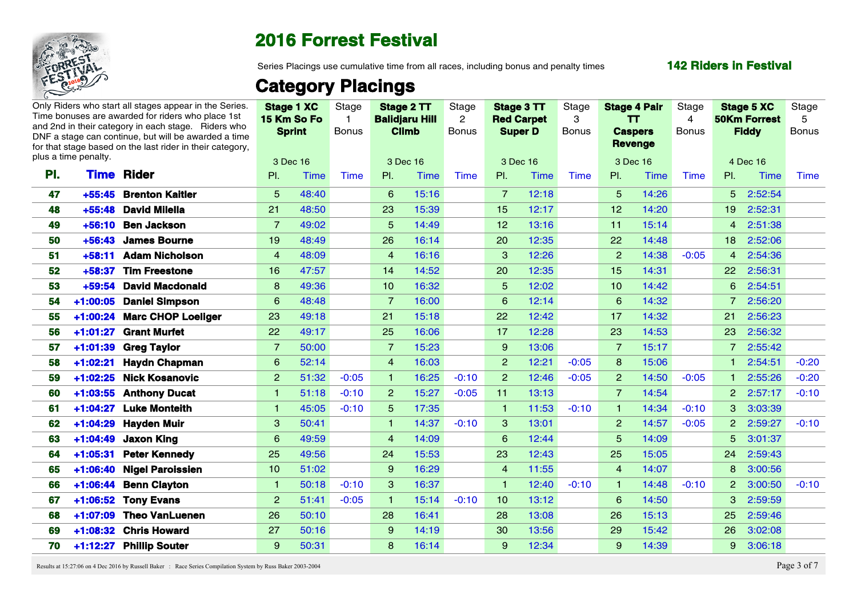

Series Placings use cumulative time from all races, including bonus and penalty times

#### **142 Riders in Festival**

## **Category Placings**

|          |                                                                                                             |                                                                                                                                                                                                                                                                                                                                                                                                                                                                                                                                                                                                                                                                                                                                                                                                                                                                                                                                                       |       | Stage                                                       |                 |       | Stage<br>$\overline{2}$                                         |                                                                                                                                             |             | Stage<br>-3                                                   |                 |       | Stage<br>4                                                                 |                |      | Stage<br>-5                                                                                                                                                                                                                                                                                                                                                      |
|----------|-------------------------------------------------------------------------------------------------------------|-------------------------------------------------------------------------------------------------------------------------------------------------------------------------------------------------------------------------------------------------------------------------------------------------------------------------------------------------------------------------------------------------------------------------------------------------------------------------------------------------------------------------------------------------------------------------------------------------------------------------------------------------------------------------------------------------------------------------------------------------------------------------------------------------------------------------------------------------------------------------------------------------------------------------------------------------------|-------|-------------------------------------------------------------|-----------------|-------|-----------------------------------------------------------------|---------------------------------------------------------------------------------------------------------------------------------------------|-------------|---------------------------------------------------------------|-----------------|-------|----------------------------------------------------------------------------|----------------|------|------------------------------------------------------------------------------------------------------------------------------------------------------------------------------------------------------------------------------------------------------------------------------------------------------------------------------------------------------------------|
|          |                                                                                                             |                                                                                                                                                                                                                                                                                                                                                                                                                                                                                                                                                                                                                                                                                                                                                                                                                                                                                                                                                       |       | <b>Bonus</b>                                                |                 |       | <b>Bonus</b>                                                    |                                                                                                                                             |             | Bonus                                                         |                 |       | <b>Bonus</b>                                                               |                |      | Bonus                                                                                                                                                                                                                                                                                                                                                            |
|          |                                                                                                             |                                                                                                                                                                                                                                                                                                                                                                                                                                                                                                                                                                                                                                                                                                                                                                                                                                                                                                                                                       |       |                                                             |                 |       |                                                                 |                                                                                                                                             |             |                                                               |                 |       |                                                                            |                |      |                                                                                                                                                                                                                                                                                                                                                                  |
|          |                                                                                                             |                                                                                                                                                                                                                                                                                                                                                                                                                                                                                                                                                                                                                                                                                                                                                                                                                                                                                                                                                       |       |                                                             |                 |       |                                                                 |                                                                                                                                             |             |                                                               |                 |       |                                                                            |                |      |                                                                                                                                                                                                                                                                                                                                                                  |
|          |                                                                                                             | PI.                                                                                                                                                                                                                                                                                                                                                                                                                                                                                                                                                                                                                                                                                                                                                                                                                                                                                                                                                   | Time  | Time                                                        | PI.             |       | Time                                                            | PI.                                                                                                                                         | <b>Time</b> | Time                                                          | PI.             | Time  | <b>Time</b>                                                                | PL             | Time | Time                                                                                                                                                                                                                                                                                                                                                             |
|          |                                                                                                             | 5 <sup>1</sup>                                                                                                                                                                                                                                                                                                                                                                                                                                                                                                                                                                                                                                                                                                                                                                                                                                                                                                                                        | 48:40 |                                                             | 6               |       |                                                                 | $\overline{7}$                                                                                                                              | 12:18       |                                                               | 5 <sup>5</sup>  | 14:26 |                                                                            |                |      |                                                                                                                                                                                                                                                                                                                                                                  |
|          |                                                                                                             | 21                                                                                                                                                                                                                                                                                                                                                                                                                                                                                                                                                                                                                                                                                                                                                                                                                                                                                                                                                    | 48:50 |                                                             | 23              | 15:39 |                                                                 | 15 <sub>1</sub>                                                                                                                             | 12:17       |                                                               | 12 <sub>2</sub> | 14:20 |                                                                            | $19-19$        |      |                                                                                                                                                                                                                                                                                                                                                                  |
|          |                                                                                                             | $\overline{7}$                                                                                                                                                                                                                                                                                                                                                                                                                                                                                                                                                                                                                                                                                                                                                                                                                                                                                                                                        | 49:02 |                                                             | $5^{\circ}$     | 14:49 |                                                                 | 12 <sub>2</sub>                                                                                                                             | 13:16       |                                                               | 11              | 15:14 |                                                                            | $\overline{4}$ |      |                                                                                                                                                                                                                                                                                                                                                                  |
|          |                                                                                                             | 19 <sup>°</sup>                                                                                                                                                                                                                                                                                                                                                                                                                                                                                                                                                                                                                                                                                                                                                                                                                                                                                                                                       | 48:49 |                                                             | 26              | 16:14 |                                                                 | 20                                                                                                                                          | 12:35       |                                                               | 22              | 14:48 |                                                                            |                |      |                                                                                                                                                                                                                                                                                                                                                                  |
|          |                                                                                                             | $\overline{4}$                                                                                                                                                                                                                                                                                                                                                                                                                                                                                                                                                                                                                                                                                                                                                                                                                                                                                                                                        | 48:09 |                                                             | $\overline{4}$  |       |                                                                 | -3                                                                                                                                          | 12:26       |                                                               | $\overline{2}$  | 14:38 | $-0:05$                                                                    | $\overline{4}$ |      |                                                                                                                                                                                                                                                                                                                                                                  |
|          |                                                                                                             | 16 <sup>1</sup>                                                                                                                                                                                                                                                                                                                                                                                                                                                                                                                                                                                                                                                                                                                                                                                                                                                                                                                                       | 47:57 |                                                             | 14              |       |                                                                 | <b>20</b>                                                                                                                                   | 12:35       |                                                               | 15 <sub>1</sub> | 14:31 |                                                                            |                |      |                                                                                                                                                                                                                                                                                                                                                                  |
|          |                                                                                                             | 8                                                                                                                                                                                                                                                                                                                                                                                                                                                                                                                                                                                                                                                                                                                                                                                                                                                                                                                                                     | 49:36 |                                                             | 10 <sup>1</sup> |       |                                                                 | -5                                                                                                                                          | 12:02       |                                                               | 10 <sup>°</sup> | 14:42 |                                                                            |                |      |                                                                                                                                                                                                                                                                                                                                                                  |
|          |                                                                                                             | 6                                                                                                                                                                                                                                                                                                                                                                                                                                                                                                                                                                                                                                                                                                                                                                                                                                                                                                                                                     | 48:48 |                                                             | -7              |       |                                                                 |                                                                                                                                             | 12:14       |                                                               | 6               | 14:32 |                                                                            |                |      |                                                                                                                                                                                                                                                                                                                                                                  |
|          |                                                                                                             | <b>23</b>                                                                                                                                                                                                                                                                                                                                                                                                                                                                                                                                                                                                                                                                                                                                                                                                                                                                                                                                             | 49:18 |                                                             | 21              |       |                                                                 | <b>22</b>                                                                                                                                   | 12:42       |                                                               | 17              | 14:32 |                                                                            | 21             |      |                                                                                                                                                                                                                                                                                                                                                                  |
|          |                                                                                                             | 22                                                                                                                                                                                                                                                                                                                                                                                                                                                                                                                                                                                                                                                                                                                                                                                                                                                                                                                                                    | 49:17 |                                                             | 25              | 16:06 |                                                                 | 17                                                                                                                                          | 12:28       |                                                               | 23              | 14:53 |                                                                            | 23             |      |                                                                                                                                                                                                                                                                                                                                                                  |
|          |                                                                                                             | $\overline{7}$                                                                                                                                                                                                                                                                                                                                                                                                                                                                                                                                                                                                                                                                                                                                                                                                                                                                                                                                        | 50:00 |                                                             | $\overline{7}$  |       |                                                                 | -9                                                                                                                                          | 13:06       |                                                               | $\overline{7}$  | 15:17 |                                                                            | $\overline{7}$ |      |                                                                                                                                                                                                                                                                                                                                                                  |
|          |                                                                                                             | 6                                                                                                                                                                                                                                                                                                                                                                                                                                                                                                                                                                                                                                                                                                                                                                                                                                                                                                                                                     | 52:14 |                                                             | $\overline{4}$  | 16:03 |                                                                 | $\overline{2}$                                                                                                                              | 12:21       | $-0:05$                                                       | 8               | 15:06 |                                                                            |                |      | $-0:20$                                                                                                                                                                                                                                                                                                                                                          |
|          |                                                                                                             | 2 <sup>2</sup>                                                                                                                                                                                                                                                                                                                                                                                                                                                                                                                                                                                                                                                                                                                                                                                                                                                                                                                                        | 51:32 | $-0:05$                                                     | $\mathbf{1}$    |       | $-0:10$                                                         | 2                                                                                                                                           | 12:46       | $-0:05$                                                       | $\overline{2}$  | 14:50 | $-0:05$                                                                    |                |      | $-0:20$                                                                                                                                                                                                                                                                                                                                                          |
|          |                                                                                                             |                                                                                                                                                                                                                                                                                                                                                                                                                                                                                                                                                                                                                                                                                                                                                                                                                                                                                                                                                       | 51:18 | $-0:10$                                                     | 2 <sup>1</sup>  |       | $-0:05$                                                         | 11                                                                                                                                          | 13:13       |                                                               | $\overline{7}$  | 14:54 |                                                                            |                |      | $-0:10$                                                                                                                                                                                                                                                                                                                                                          |
|          |                                                                                                             |                                                                                                                                                                                                                                                                                                                                                                                                                                                                                                                                                                                                                                                                                                                                                                                                                                                                                                                                                       | 45:05 | $-0:10$                                                     | 5 <sup>5</sup>  |       |                                                                 |                                                                                                                                             | 11:53       | $-0:10$                                                       |                 | 14:34 | $-0:10$                                                                    |                |      |                                                                                                                                                                                                                                                                                                                                                                  |
|          |                                                                                                             |                                                                                                                                                                                                                                                                                                                                                                                                                                                                                                                                                                                                                                                                                                                                                                                                                                                                                                                                                       | 50:41 |                                                             |                 |       | $-0:10$                                                         | $\mathbf{3}$                                                                                                                                | 13:01       |                                                               | $\overline{2}$  | 14:57 | $-0:05$                                                                    |                |      | $-0:10$                                                                                                                                                                                                                                                                                                                                                          |
|          |                                                                                                             | 6                                                                                                                                                                                                                                                                                                                                                                                                                                                                                                                                                                                                                                                                                                                                                                                                                                                                                                                                                     | 49:59 |                                                             | $\overline{4}$  | 14:09 |                                                                 | 6                                                                                                                                           | 12:44       |                                                               | 5               | 14:09 |                                                                            |                |      |                                                                                                                                                                                                                                                                                                                                                                  |
|          |                                                                                                             | 25                                                                                                                                                                                                                                                                                                                                                                                                                                                                                                                                                                                                                                                                                                                                                                                                                                                                                                                                                    | 49:56 |                                                             | 24              |       |                                                                 | 23                                                                                                                                          | 12:43       |                                                               | 25              | 15:05 |                                                                            | 24             |      |                                                                                                                                                                                                                                                                                                                                                                  |
|          |                                                                                                             | 10 <sup>1</sup>                                                                                                                                                                                                                                                                                                                                                                                                                                                                                                                                                                                                                                                                                                                                                                                                                                                                                                                                       | 51:02 |                                                             | 9               |       |                                                                 | $\overline{4}$                                                                                                                              | 11:55       |                                                               | $\overline{4}$  | 14:07 |                                                                            | 8              |      |                                                                                                                                                                                                                                                                                                                                                                  |
|          |                                                                                                             |                                                                                                                                                                                                                                                                                                                                                                                                                                                                                                                                                                                                                                                                                                                                                                                                                                                                                                                                                       | 50:18 | $-0:10$                                                     | -3              | 16:37 |                                                                 |                                                                                                                                             | 12:40       | $-0:10$                                                       |                 | 14:48 | $-0:10$                                                                    |                |      | $-0:10$                                                                                                                                                                                                                                                                                                                                                          |
|          |                                                                                                             | $\overline{2}$                                                                                                                                                                                                                                                                                                                                                                                                                                                                                                                                                                                                                                                                                                                                                                                                                                                                                                                                        | 51:41 | $-0:05$                                                     |                 |       | $-0:10$                                                         | 10 <sub>1</sub>                                                                                                                             | 13:12       |                                                               | 6               | 14:50 |                                                                            | 3 <sup>°</sup> |      |                                                                                                                                                                                                                                                                                                                                                                  |
|          |                                                                                                             | 26                                                                                                                                                                                                                                                                                                                                                                                                                                                                                                                                                                                                                                                                                                                                                                                                                                                                                                                                                    | 50:10 |                                                             | 28              | 16:41 |                                                                 | 28                                                                                                                                          | 13:08       |                                                               | 26              | 15:13 |                                                                            | 25             |      |                                                                                                                                                                                                                                                                                                                                                                  |
|          |                                                                                                             | <b>27</b>                                                                                                                                                                                                                                                                                                                                                                                                                                                                                                                                                                                                                                                                                                                                                                                                                                                                                                                                             | 50:16 |                                                             | 9               |       |                                                                 | 30                                                                                                                                          | 13:56       |                                                               | 29              | 15:42 |                                                                            | <b>26</b>      |      |                                                                                                                                                                                                                                                                                                                                                                  |
|          |                                                                                                             | 9                                                                                                                                                                                                                                                                                                                                                                                                                                                                                                                                                                                                                                                                                                                                                                                                                                                                                                                                                     | 50:31 |                                                             | 8               | 16:14 |                                                                 | -9                                                                                                                                          | 12:34       |                                                               | 9               | 14:39 |                                                                            | -9             |      |                                                                                                                                                                                                                                                                                                                                                                  |
| 47<br>48 | plus a time penalty.<br>PI.<br>54<br>55<br>56<br>57<br>59<br>60<br>61 -<br>63 -<br>64 -<br>65<br>66 -<br>68 | Only Riders who start all stages appear in the Series<br>Time bonuses are awarded for riders who place 1st<br>and 2nd in their category in each stage. Riders who<br>DNF a stage can continue, but will be awarded a time<br>for that stage based on the last rider in their category.<br><b>Time Rider</b><br>+55:45 Brenton Kaitler<br>+55:48 David Milella<br>+56:10 Ben Jackson<br>+56:43 James Bourne<br>+58:11 Adam Nicholson<br>+58:37 Tim Freestone<br>+59:54 David Macdonald<br>+1:00:05 Daniel Simpson<br>1:00:24 Marc CHOP Loeliger<br>+1:01:27 Grant Murfet<br>+1:01:39 Greg Taylor<br>+1:02:21 Haydn Chapman<br>1:02:25 Nick Kosanovic<br>+1:03:55 Anthony Ducat<br>+1:04:27 Luke Monteith<br>62 +1:04:29 Hayden Muir<br>1:04:49 Jaxon King<br>1:05:31 Peter Kennedy<br>1:06:40 Nigel Paroissien<br>+1:06:44 Benn Clayton<br>67 +1:06:52 Tony Evans<br>+1:07:09 Theo VanLuenen<br>69 +1:08:32 Chris Howard<br>70 +1:12:27 Phillip Souter |       | Stage 1 XC<br>15 Km So Fo<br><b>Sprint</b><br>3 Dec 16<br>3 |                 |       | Stage 2 TT<br><b>Balidjaru Hill</b><br><b>Climb</b><br>3 Dec 16 | Time<br>15:16<br>16:16<br>14:52<br>16:32<br>16:00<br>15:18<br>15:23<br>16:25<br>15:27<br>17:35<br>14:37<br>15:53<br>16:29<br>15:14<br>14:19 |             | Stage 3 TT<br><b>Red Carpet</b><br><b>Super D</b><br>3 Dec 16 |                 |       | <b>Stage 4 Pair</b><br>TT.<br><b>Caspers</b><br><b>Revenge</b><br>3 Dec 16 |                |      | <b>Stage 5 XC</b><br><b>50Km Forrest</b><br><b>Fiddy</b><br>4 Dec 16<br>5 2:52:54<br>2:52:31<br>2:51:38<br>18 2:52:06<br>2:54:36<br>22 2:56:31<br>6 2:54:51<br>2:56:20<br>2:56:23<br>2:56:32<br>2:55:42<br>2:54:51<br>2:55:26<br>2 2:57:17<br>3 3:03:39<br>2 2:59:27<br>5 3:01:37<br>2:59:43<br>3:00:56<br>2 3:00:50<br>2:59:59<br>2:59:46<br>3:02:08<br>3:06:18 |

Results at 15:27:06 on 4 Dec 2016 by Russell Baker : Race Series Compilation System by Russ Baker 2003-2004 Page 3 of 7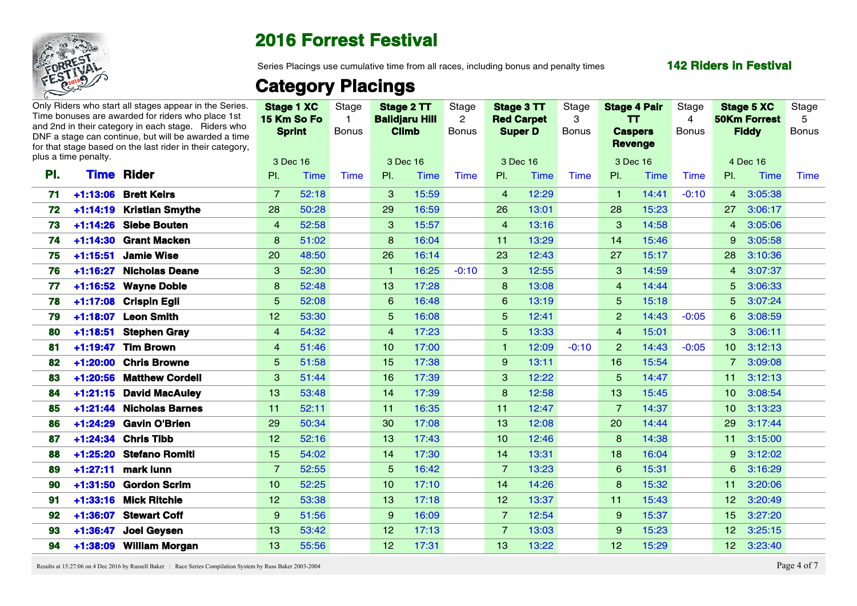

Series Placings use cumulative time from all races, including bonus and penalty times

#### **142 Riders in Festival**

## **Category Placings**

|      |                      | Only Riders who start all stages appear in the Series<br>Time bonuses are awarded for riders who place 1st<br>and 2nd in their category in each stage. Riders who<br>DNF a stage can continue, but will be awarded a time |                 | <b>Stage 1 XC</b><br>15 Km So Fo<br><b>Sprint</b> | Stage<br><b>Bonus</b> |                 | Stage 2 TT<br><b>Balidjaru Hill</b><br><b>Climb</b> | Stage<br>$\mathbf{2}$<br><b>Bonus</b> | <b>Super D</b>  | Stage 3 TT<br><b>Red Carpet</b> | Stage<br>-3<br>Bonus | <b>Stage 4 Pair</b><br>TT.<br><b>Caspers</b> |       | Stage<br>4<br><b>Bonus</b> | <b>50Km Forrest</b> | Stage 5 XC<br><b>Fiddy</b> | Stage<br>-5<br><b>Bonus</b> |  |
|------|----------------------|---------------------------------------------------------------------------------------------------------------------------------------------------------------------------------------------------------------------------|-----------------|---------------------------------------------------|-----------------------|-----------------|-----------------------------------------------------|---------------------------------------|-----------------|---------------------------------|----------------------|----------------------------------------------|-------|----------------------------|---------------------|----------------------------|-----------------------------|--|
|      | plus a time penalty. | for that stage based on the last rider in their category.                                                                                                                                                                 |                 | 3 Dec 16                                          |                       |                 | 3 Dec 16                                            |                                       | 3 Dec 16        |                                 |                      | <b>Revenge</b><br>3 Dec 16                   |       |                            | 4 Dec 16            |                            |                             |  |
| PI.  |                      | <b>Time Rider</b>                                                                                                                                                                                                         | PI.             | Time                                              | Time                  | PI.             | Time                                                | Time                                  | PI.             | Time                            | Time                 | PI.                                          | Time  | Time                       | $\mathsf{PL}$       | Time                       | Time                        |  |
|      |                      | 71 +1:13:06 Brett Keirs                                                                                                                                                                                                   | $\overline{7}$  | 52:18                                             |                       | -3              | 15:59                                               |                                       | $\overline{4}$  | 12:29                           |                      |                                              | 14:41 | $-0:10$                    | $\overline{4}$      | 3:05:38                    |                             |  |
|      |                      | 72 +1:14:19 Kristian Smythe                                                                                                                                                                                               | 28              | 50:28                                             |                       | 29              | 16:59                                               |                                       | 26              | 13:01                           |                      | 28                                           | 15:23 |                            | 27                  | 3:06:17                    |                             |  |
| 73   |                      | +1:14:26 Siebe Bouten                                                                                                                                                                                                     | $\overline{4}$  | 52:58                                             |                       | 3               | 15:57                                               |                                       | $\overline{4}$  | 13:16                           |                      | $\mathbf{3}$                                 | 14:58 |                            | $\overline{4}$      | 3:05:06                    |                             |  |
|      |                      | 74 +1:14:30 Grant Macken                                                                                                                                                                                                  | 8               | 51:02                                             |                       | 8               | 16:04                                               |                                       | 11              | 13:29                           |                      | 14                                           | 15:46 |                            | -9                  | 3:05:58                    |                             |  |
|      |                      | 75 +1:15:51 Jamie Wise                                                                                                                                                                                                    | 20 <sub>2</sub> | 48:50                                             |                       | 26 <sup>°</sup> | 16:14                                               |                                       | 23              | 12:43                           |                      | 27                                           | 15:17 |                            |                     | 28 3:10:36                 |                             |  |
| 76 - |                      | +1:16:27 Nicholas Deane                                                                                                                                                                                                   | 3               | 52:30                                             |                       |                 | 16:25                                               | $-0:10$                               | -3-             | 12:55                           |                      | -3                                           | 14:59 |                            | 4                   | 3:07:37                    |                             |  |
| 77   |                      | +1:16:52 Wayne Doble                                                                                                                                                                                                      | 8               | 52:48                                             |                       | 13.             | 17:28                                               |                                       | -8              | 13:08                           |                      | $\overline{4}$                               | 14:44 |                            |                     | 5 3:06:33                  |                             |  |
| 78   |                      | +1:17:08 Crispin Egli                                                                                                                                                                                                     | -5              | 52:08                                             |                       | 6               | 16:48                                               |                                       | -6              | 13:19                           |                      | 5                                            | 15:18 |                            |                     | 5 3:07:24                  |                             |  |
| 79 - |                      | +1:18:07 Leon Smith                                                                                                                                                                                                       | 12 <sup>7</sup> | 53:30                                             |                       | 5               | 16:08                                               |                                       | -5              | 12:41                           |                      | $\overline{2}$                               | 14:43 | $-0:05$                    |                     | 6 3:08:59                  |                             |  |
| 80   |                      | +1:18:51 Stephen Gray                                                                                                                                                                                                     | $\overline{4}$  | 54:32                                             |                       | $\overline{4}$  | 17:23                                               |                                       | -5              | 13:33                           |                      | $\overline{4}$                               | 15:01 |                            |                     | $3\quad 3:06:11$           |                             |  |
| 81.  |                      | +1:19:47 Tim Brown                                                                                                                                                                                                        | $\overline{4}$  | 51:46                                             |                       | 10 <sup>1</sup> | 17:00                                               |                                       |                 | 12:09                           | $-0:10$              | $\overline{2}$                               | 14:43 | $-0:05$                    |                     | 10 3:12:13                 |                             |  |
|      |                      | +1:20:00 Chris Browne                                                                                                                                                                                                     | 5               | 51:58                                             |                       | 15 <sub>1</sub> | 17:38                                               |                                       | $\mathbf{Q}$    | 13:11                           |                      | 16 <sup>1</sup>                              | 15:54 |                            |                     | 7 3:09:08                  |                             |  |
| 83.  |                      | 1:20:56 Matthew Cordell                                                                                                                                                                                                   | $\mathbf{3}$    | 51:44                                             |                       | 16 <sup>°</sup> | 17:39                                               |                                       | $\mathbf{3}$    | 12:22                           |                      | 5                                            | 14:47 |                            |                     | $11 \quad 3:12:13$         |                             |  |
| 84   |                      | +1:21:15 David MacAuley                                                                                                                                                                                                   | 13 <sup>7</sup> | 53:48                                             |                       | 14              | 17:39                                               |                                       | -8              | 12:58                           |                      | 13 <sup>7</sup>                              | 15:45 |                            |                     | 10 3:08:54                 |                             |  |
| 85 - |                      | 1:21:44 Nicholas Barnes                                                                                                                                                                                                   | 11 <sup>1</sup> | 52:11                                             |                       | 11 <sub>1</sub> | 16:35                                               |                                       | 11              | 12:47                           |                      | - 7                                          | 14:37 |                            |                     | 10 3:13:23                 |                             |  |
|      |                      | 86 +1:24:29 Gavin O'Brien                                                                                                                                                                                                 | 29              | 50:34                                             |                       | 30 <sup>°</sup> | 17:08                                               |                                       | 13 <sup>°</sup> | 12:08                           |                      | 20                                           | 14:44 |                            |                     | 29 3:17:44                 |                             |  |
| 87 - |                      | +1:24:34 Chris Tibb                                                                                                                                                                                                       | 12 <sub>1</sub> | 52:16                                             |                       | 13.             | 17:43                                               |                                       | 10 <sup>°</sup> | 12:46                           |                      | 8                                            | 14:38 |                            | 11 <sub>1</sub>     | 3:15:00                    |                             |  |
|      |                      | +1:25:20 Stefano Romiti                                                                                                                                                                                                   | 15 <sup>7</sup> | 54:02                                             |                       | 14              | 17:30                                               |                                       | 14              | 13:31                           |                      | 18 <sup>°</sup>                              | 16:04 |                            |                     | $9$ 3:12:02                |                             |  |
|      |                      | +1:27:11 mark lunn                                                                                                                                                                                                        |                 | 52:55                                             |                       | $5^{\circ}$     | 16:42                                               |                                       |                 | 13:23                           |                      | 6                                            | 15:31 |                            |                     | 6 3:16:29                  |                             |  |
| 90 - |                      | +1:31:50 Gordon Scrim                                                                                                                                                                                                     | 10 <sup>1</sup> | 52:25                                             |                       | 10.             | 17:10                                               |                                       | 14              | 14:26                           |                      | 8                                            | 15:32 |                            |                     | 11 3:20:06                 |                             |  |
| 91   |                      | +1:33:16 Mick Ritchie                                                                                                                                                                                                     | 12 <sub>2</sub> | 53:38                                             |                       | 13 <sup>°</sup> | 17:18                                               |                                       | 12 <sub>2</sub> | 13:37                           |                      | 11                                           | 15:43 |                            | 12 <sub>2</sub>     | 3:20:49                    |                             |  |
|      |                      | 92 +1:36:07 Stewart Coff                                                                                                                                                                                                  | 9               | 51:56                                             |                       | 9               | 16:09                                               |                                       | $\overline{7}$  | 12:54                           |                      | 9                                            | 15:37 |                            | 15 <sub>1</sub>     | 3:27:20                    |                             |  |
|      |                      | 93 +1:36:47 Joel Geysen                                                                                                                                                                                                   | 13.             | 53:42                                             |                       | 12.             | 17:13                                               |                                       |                 | 13:03                           |                      | 9                                            | 15:23 |                            | 12 <sup>1</sup>     | 3:25:15                    |                             |  |
|      |                      | 94 +1:38:09 William Morgan                                                                                                                                                                                                | 13 <sup>°</sup> | 55:56                                             |                       | 12 <sub>1</sub> | 17:31                                               |                                       | 13 <sup>°</sup> | 13:22                           |                      | 12 <sub>2</sub>                              | 15:29 |                            | 12 <sup>7</sup>     | 3:23:40                    |                             |  |

Results at 15:27:06 on 4 Dec 2016 by Russell Baker : Race Series Compilation System by Russ Baker 2003-2004 Page 4 of 7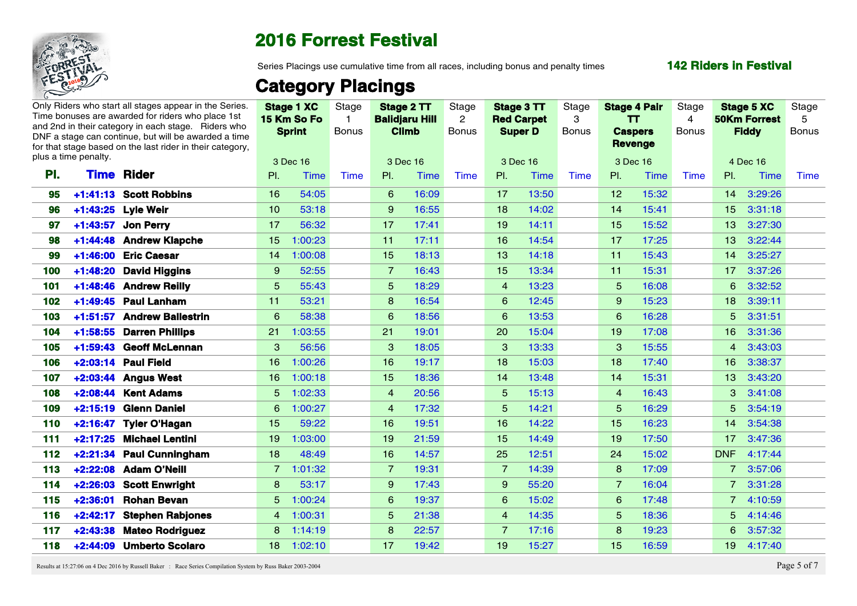

Series Placings use cumulative time from all races, including bonus and penalty times

#### **142 Riders in Festival**

## **Category Placings**

|     |                      | Only Riders who start all stages appear in the Series.<br>Time bonuses are awarded for riders who place 1st |                 | Stage 1 XC<br>15 Km So Fo | Stage        |                 | Stage 2 TT<br><b>Balidjaru Hill</b> | Stage<br>$\overline{2}$ | Stage 3 TT     | <b>Red Carpet</b> | Stage<br>-3  |                  | <b>Stage 4 Pair</b><br><b>TT</b> | Stage<br>4   |                 | <b>Stage 5 XC</b><br><b>50Km Forrest</b> | Stage<br>-5  |
|-----|----------------------|-------------------------------------------------------------------------------------------------------------|-----------------|---------------------------|--------------|-----------------|-------------------------------------|-------------------------|----------------|-------------------|--------------|------------------|----------------------------------|--------------|-----------------|------------------------------------------|--------------|
|     |                      | and 2nd in their category in each stage. Riders who<br>DNF a stage can continue, but will be awarded a time |                 | <b>Sprint</b>             | <b>Bonus</b> |                 | <b>Climb</b>                        | <b>Bonus</b>            | <b>Super D</b> |                   | <b>Bonus</b> | <b>Caspers</b>   |                                  | <b>Bonus</b> |                 | <b>Fiddy</b>                             | <b>Bonus</b> |
|     |                      | for that stage based on the last rider in their category,                                                   |                 |                           |              |                 |                                     |                         |                |                   |              |                  | <b>Revenge</b>                   |              |                 |                                          |              |
|     | plus a time penalty. |                                                                                                             |                 | 3 Dec 16                  |              |                 | 3 Dec 16                            |                         | 3 Dec 16       |                   |              |                  | 3 Dec 16                         |              |                 | 4 Dec 16                                 |              |
| PI. | <b>Time</b>          | Rider                                                                                                       | PI.             | Time                      | Time         | PI.             | Time                                | Time                    | PI.            | Time              | Time         | PI.              | Time                             | <b>Time</b>  | $\mathsf{PL}$   | Time                                     | Time         |
| 95  |                      | +1:41:13 Scott Robbins                                                                                      | 16              | 54:05                     |              | 6               | 16:09                               |                         | 17             | 13:50             |              | 12 <sup>12</sup> | 15:32                            |              |                 | 14 3:29:26                               |              |
| 96  |                      | +1:43:25 Lyle Weir                                                                                          | 10 <sup>°</sup> | 53:18                     |              | 9               | 16:55                               |                         | 18             | 14:02             |              | 14               | 15:41                            |              | 15 <sub>1</sub> | 3:31:18                                  |              |
| 97  |                      | +1:43:57 Jon Perry                                                                                          | 17              | 56:32                     |              | 17              | 17:41                               |                         | 19             | 14:11             |              | 15 <sub>1</sub>  | 15:52                            |              | 13 <sup>°</sup> | 3:27:30                                  |              |
| 98. |                      | +1:44:48 Andrew Klapche                                                                                     | 15 <sub>1</sub> | 1:00:23                   |              | 11              | 17:11                               |                         | 16             | 14:54             |              | 17 <sub>2</sub>  | 17:25                            |              | 13 <sup>°</sup> | 3:22:44                                  |              |
|     |                      | +1:46:00 Eric Caesar                                                                                        |                 | 14 1:00:08                |              | 15 <sup>1</sup> | 18:13                               |                         | 13             | 14:18             |              | 11 <sup>1</sup>  | 15:43                            |              | 14              | 3:25:27                                  |              |
| 100 |                      | +1:48:20 David Higgins                                                                                      | 9               | 52:55                     |              | 7               | 16:43                               |                         | 15             | 13:34             |              | 11.              | 15:31                            |              | 17              | 3:37:26                                  |              |
| 101 |                      | +1:48:46 Andrew Reilly                                                                                      | -5              | 55:43                     |              | 5               | 18:29                               |                         | $\overline{4}$ | 13:23             |              | 5                | 16:08                            |              |                 | 6 3:32:52                                |              |
| 102 |                      | +1:49:45 Paul Lanham                                                                                        | 11              | 53:21                     |              | 8               | 16:54                               |                         | 6              | 12:45             |              | 9                | 15:23                            |              | 18              | 3:39:11                                  |              |
| 103 |                      | +1:51:57 Andrew Ballestrin                                                                                  | -6              | 58:38                     |              | 6               | 18:56                               |                         | 6              | 13:53             |              | 6                | 16:28                            |              | 5               | 3:31:51                                  |              |
| 104 |                      | +1:58:55 Darren Phillips                                                                                    | 21              | 1:03:55                   |              | 21              | 19:01                               |                         | 20             | 15:04             |              | 19 <sup>°</sup>  | 17:08                            |              | 16 <sup>°</sup> | 3:31:36                                  |              |
| 105 |                      | +1:59:43 Geoff McLennan                                                                                     | 3               | 56:56                     |              | $\mathbf{3}$    | 18:05                               |                         | -3             | 13:33             |              | $\mathbf{3}$     | 15:55                            |              | $\overline{4}$  | 3:43:03                                  |              |
| 106 |                      | +2:03:14 Paul Field                                                                                         | 16 <sup>1</sup> | 1:00:26                   |              | 16              | 19:17                               |                         | 18             | 15:03             |              | 18               | 17:40                            |              | 16 <sup>1</sup> | 3:38:37                                  |              |
| 107 |                      | +2:03:44 Angus West                                                                                         | 16 <sup>1</sup> | 1:00:18                   |              | 15 <sub>1</sub> | 18:36                               |                         | 14             | 13:48             |              | 14               | 15:31                            |              | 13 <sup>°</sup> | 3:43:20                                  |              |
| 108 |                      | +2:08:44 Kent Adams                                                                                         |                 | $5 - 1:02:33$             |              | $\overline{4}$  | 20:56                               |                         | 5              | 15:13             |              | $\overline{4}$   | 16:43                            |              |                 | $3\quad 3:41:08$                         |              |
| 109 | $+2:15:19$           | <b>Glenn Daniel</b>                                                                                         |                 | 6 1:00:27                 |              | $\overline{4}$  | 17:32                               |                         | .5             | 14:21             |              | -5               | 16:29                            |              | 5               | 3:54:19                                  |              |
| 110 |                      | +2:16:47 Tyler O'Hagan                                                                                      | 15 <sub>1</sub> | 59:22                     |              | 16              | 19:51                               |                         | 16             | 14:22             |              | 15 <sub>15</sub> | 16:23                            |              |                 | 14 3:54:38                               |              |
| 111 |                      | +2:17:25 Michael Lentini                                                                                    | 19 <sup>°</sup> | 1:03:00                   |              | 19 <sup>°</sup> | 21:59                               |                         | 15             | 14:49             |              | 19               | 17:50                            |              | 17              | 3:47:36                                  |              |
| 112 |                      | +2:21:34 Paul Cunningham                                                                                    | 18 <sup>°</sup> | 48:49                     |              | 16 <sup>1</sup> | 14:57                               |                         | 25             | 12:51             |              | 24               | 15:02                            |              |                 | DNF 4:17:44                              |              |
| 113 |                      | +2:22:08 Adam O'Neill                                                                                       |                 | 7 1:01:32                 |              |                 | 19:31                               |                         |                | 14:39             |              | 8                | 17:09                            |              |                 | 3:57:06                                  |              |
| 114 |                      | +2:26:03 Scott Enwright                                                                                     | 8               | 53:17                     |              | 9               | 17:43                               |                         | 9              | 55:20             |              | 7                | 16:04                            |              |                 | 7 3:31:28                                |              |
| 115 |                      | +2:36:01 Rohan Bevan                                                                                        |                 | 5 1:00:24                 |              | 6               | 19:37                               |                         | 6              | 15:02             |              | 6                | 17:48                            |              |                 | 7 4:10:59                                |              |
| 116 |                      | +2:42:17 Stephen Rabjones                                                                                   |                 | 4 1:00:31                 |              | $5^{\circ}$     | 21:38                               |                         | $\overline{4}$ | 14:35             |              | 5                | 18:36                            |              |                 | 5 4:14:46                                |              |
| 117 |                      | +2:43:38 Mateo Rodriguez                                                                                    |                 | 8 1:14:19                 |              | 8               | 22:57                               |                         | -7             | 17:16             |              | 8                | 19:23                            |              |                 | 6 3:57:32                                |              |
| 118 |                      | +2:44:09 Umberto Scolaro                                                                                    |                 | 18 1:02:10                |              | 17 <sup>2</sup> | 19:42                               |                         | 19             | 15:27             |              | 15 <sub>15</sub> | 16:59                            |              | 19 <sup>°</sup> | 4:17:40                                  |              |

Results at 15:27:06 on 4 Dec 2016 by Russell Baker : Race Series Compilation System by Russ Baker 2003-2004 Page 5 of 7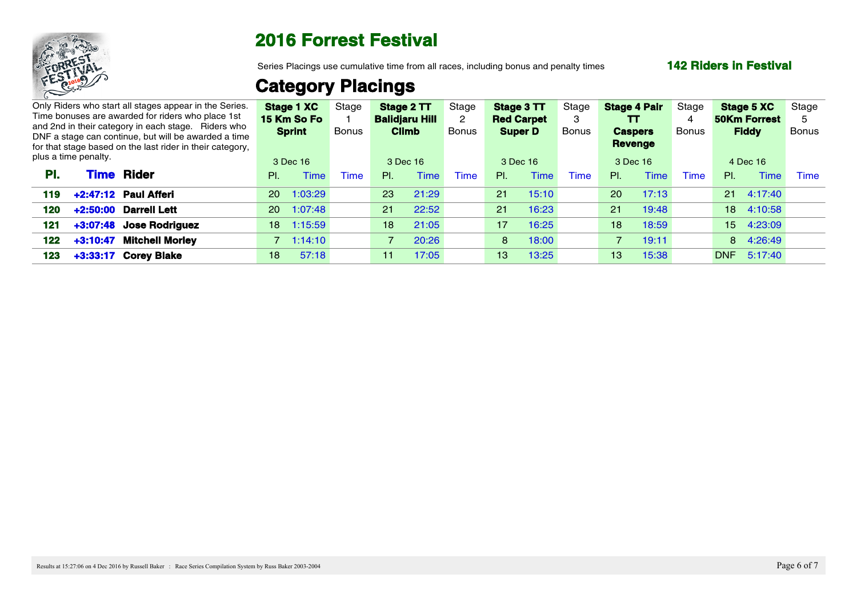

Series Placings use cumulative time from all races, including bonus and penalty times

#### **142 Riders in Festival**

## **Category Placings**

|                      |      | Only Riders who start all stages appear in the Series.<br>Time bonuses are awarded for riders who place 1st                                                              |     | Stage 1 XC<br>15 Km So Fo | Stage       |                | Stage 2 TT<br><b>Balidjaru Hill</b> | Stage | Stage 3 TT<br><b>Red Carpet</b> |          | Stage        | <b>Stage 4 Pair</b><br>ΤТ        |                  | Stage |     | <b>Stage 5 XC</b><br><b>50Km Forrest</b> | Stage |  |
|----------------------|------|--------------------------------------------------------------------------------------------------------------------------------------------------------------------------|-----|---------------------------|-------------|----------------|-------------------------------------|-------|---------------------------------|----------|--------------|----------------------------------|------------------|-------|-----|------------------------------------------|-------|--|
|                      |      | and 2nd in their category in each stage. Riders who<br>DNF a stage can continue, but will be awarded a time<br>for that stage based on the last rider in their category, |     | <b>Sprint</b>             | Bonus       |                | <b>Climb</b>                        | Bonus | <b>Super D</b>                  |          | <b>Bonus</b> | <b>Caspers</b><br><b>Revenge</b> |                  | Bonus |     | <b>Fiddy</b>                             | Bonus |  |
| plus a time penalty. |      |                                                                                                                                                                          |     | 3 Dec 16                  |             |                | 3 Dec 16                            |       | 3 Dec 16                        |          |              | 3 Dec 16                         |                  |       |     | 4 Dec 16                                 |       |  |
| PI.                  | Time | <b>Rider</b>                                                                                                                                                             | PI. | Time                      | <b>Time</b> | PL             | Time                                | Time. | PL                              | Time     | Time         | PI.                              | <sup>-</sup> ime | Time  | PI. | <b>Time</b>                              | Time  |  |
|                      |      | 119 +2:47:12 Paul Afferi                                                                                                                                                 |     | 20 1:03:29                |             | 23             | 21:29                               |       | 21                              | 15:10    |              | 20 <sup>2</sup>                  | 17:13            |       |     | 21 4:17:40                               |       |  |
| 120                  |      | +2:50:00 Darrell Lett                                                                                                                                                    |     | 20 1:07:48                |             | $21 -$         | 22:52                               |       |                                 | 21 16:23 |              | 21                               | 19:48            |       |     | 18 4:10:58                               |       |  |
| 121                  |      | +3:07:48 Jose Rodriguez                                                                                                                                                  |     | 18 1:15:59                |             | 18             | 21:05                               |       | 17 <sup>2</sup>                 | 16:25    |              | 18                               | 18:59            |       |     | 15 4:23:09                               |       |  |
|                      |      | 122 +3:10:47 Mitchell Morley                                                                                                                                             |     | $7 - 1:14:10$             |             | $\overline{7}$ | 20:26                               |       |                                 | 8 18:00  |              | $7^{\circ}$                      | 19:11            |       |     | 8 4:26:49                                |       |  |
| 123                  |      | +3:33:17 Corey Blake                                                                                                                                                     | 18  | 57:18                     |             | 11             | 17:05                               |       | 13                              | 13:25    |              | 13                               | 15:38            |       |     | DNF 5:17:40                              |       |  |